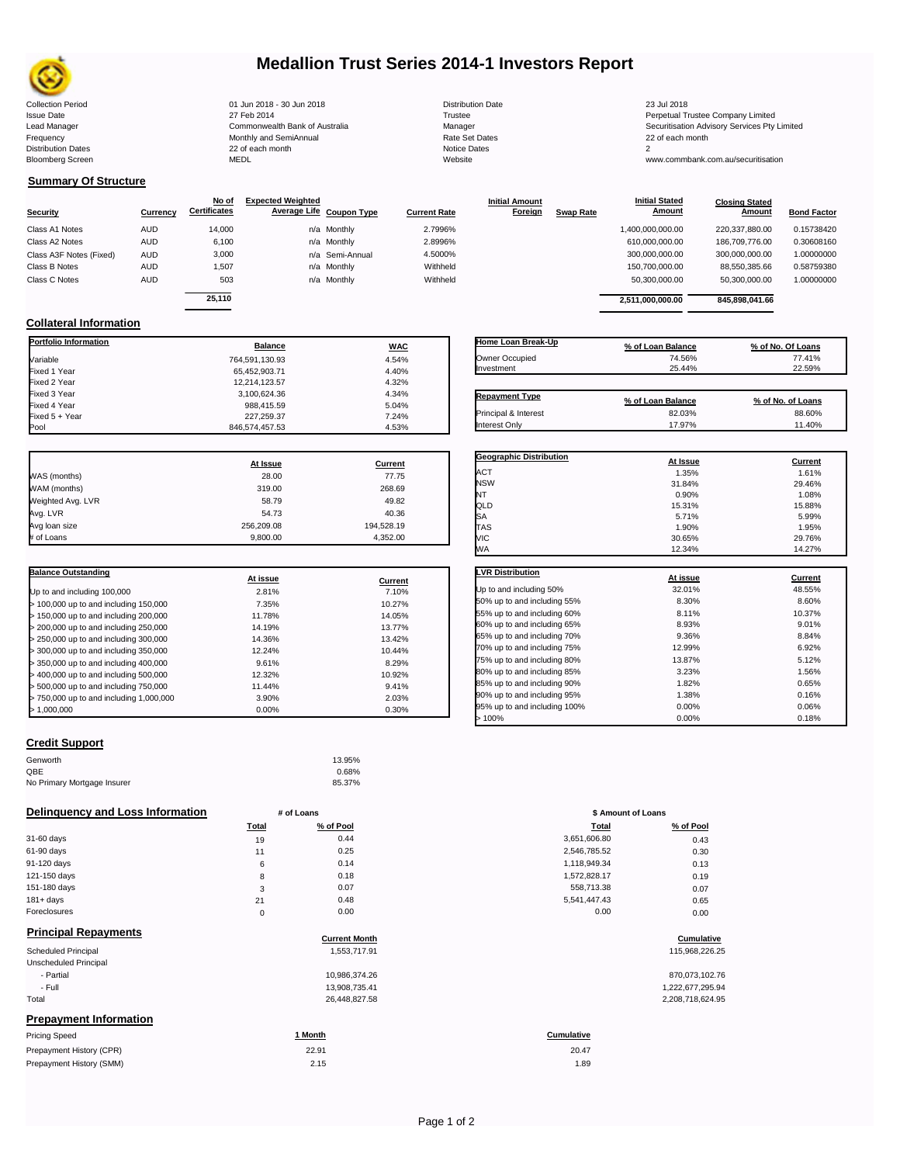

## **Medallion Trust Series 2014-1 Investors Report**

Collection Period 01 Jun 2018 - 30 Jun 2018 Distribution Date 23 Jul 2018 Issue Date 2014 27 Feb 2014 27 Feb 2014<br>Isaad Manager 2015 2017 Commonwealth Bank of Australia 2016 Manager 2016 2017 2017 Securitisation Advisory Services Pty Frequency 22 of each month Monthly and SemiAnnual Rate Set Dates 22 of each month 22 of each month 22 of each month<br>Distribution Dates 22 of each month 22 of each month 20 of each month and the Set Dates 20 month 2 Bloomberg Screen MEDL Website www.commbank.com.au/securitisation

Lead Manager **Commonwealth Bank of Australia** Manager Manager Securitisation Advisory Services Pty Limited

**Closing Stated Amount**

#### **Summary Of Structure**

**Collateral Information**

|                         |            | No of               | <b>Expected Weighted</b> |              | <b>Initial Amount</b> |                  | <b>Initial Stated</b> | <b>Closing Stated</b> |                    |
|-------------------------|------------|---------------------|--------------------------|--------------|-----------------------|------------------|-----------------------|-----------------------|--------------------|
| Security                | Currency   | <b>Certificates</b> | Average Life Coupon Type | Current Rate | Foreign               | <b>Swap Rate</b> | <b>Amount</b>         | Amount                | <b>Bond Factor</b> |
| Class A1 Notes          | <b>AUD</b> | 14.000              | n/a Monthly              | 2.7996%      |                       |                  | 1,400,000,000.00      | 220.337.880.00        | 0.15738420         |
| Class A2 Notes          | <b>AUD</b> | 6,100               | n/a Monthly              | 2.8996%      |                       |                  | 610,000,000.00        | 186,709,776,00        | 0.30608160         |
| Class A3F Notes (Fixed) | AUD        | 3,000               | n/a Semi-Annual          | 4.5000%      |                       |                  | 300,000,000.00        | 300,000,000.00        | 1.00000000         |
| Class B Notes           | AUD        | 1.507               | n/a Monthly              | Withheld     |                       |                  | 150,700,000.00        | 88.550.385.66         | 0.58759380         |
| Class C Notes           | AUD        | 503                 | n/a Monthly              | Withheld     |                       |                  | 50,300,000.00         | 50,300,000.00         | 1.00000000         |
|                         |            | 25.110              |                          |              |                       |                  |                       |                       |                    |
|                         |            |                     |                          |              |                       |                  | 2.511.000.000.00      | 845.898.041.66        |                    |

**Portfolio Information Balance WAC** Variable 764,591,130.93 4.54% Fixed 1 Year 65,452,903.71 4.40% Fixed 2 Year 12,214,123.57 4.32% Fixed 3 Year 3,100,624.36 4.34%

Fixed 5 + Year 24% 7.24% 227,259.37 7.24% 7.24% 7.24% 7.24% 7.24% 7.24% 7.24% 7.24% 7.24% 7.24% 7.24% 7.24% 7.<br>المراجع المراجع المراجع المراجع المراجع المراجع المراجع المراجع المراجع المراجع المراجع المراجع المراجع المراج

846,574,457.53

| Home Loan Break-Up    | % of Loan Balance | % of No. Of Loans |
|-----------------------|-------------------|-------------------|
| Owner Occupied        | 74.56%            | 77.41%            |
| Investment            | 25.44%            | 22.59%            |
|                       |                   |                   |
| <b>Repayment Type</b> | % of Loan Balance | % of No. of Loans |
| Principal & Interest  | 82.03%            | 88.60%            |

**Initial Stated** 

|                   | At Issue   | <b>Current</b> |
|-------------------|------------|----------------|
| WAS (months)      | 28.00      | 77.75          |
| WAM (months)      | 319.00     | 268.69         |
| Weighted Avg. LVR | 58.79      | 49.82          |
| Avg. LVR          | 54.73      | 40.36          |
| Avg loan size     | 256.209.08 | 194,528.19     |
| # of Loans        | 9,800.00   | 4,352.00       |

Fixed 4 388,415.59<br>227,259.37 7.24%

| <b>Balance Outstanding</b>              | At issue | Current |
|-----------------------------------------|----------|---------|
| Up to and including 100,000             | 2.81%    | 7.10%   |
| $>$ 100,000 up to and including 150,000 | 7.35%    | 10.27%  |
| $>$ 150,000 up to and including 200,000 | 11.78%   | 14.05%  |
| > 200,000 up to and including 250,000   | 14.19%   | 13.77%  |
| $>$ 250,000 up to and including 300,000 | 14.36%   | 13.42%  |
| > 300,000 up to and including 350,000   | 12.24%   | 10.44%  |
| > 350,000 up to and including 400,000   | 9.61%    | 8.29%   |
| > 400,000 up to and including 500,000   | 12.32%   | 10.92%  |
| > 500,000 up to and including 750,000   | 11.44%   | 9.41%   |
| > 750,000 up to and including 1,000,000 | 3.90%    | 2.03%   |
| > 1.000.000                             | 0.00%    | 0.30%   |

### **Credit Support**

Prepayment History (SMM)

| Genworth                    | 13.95% |
|-----------------------------|--------|
| QBE                         | 0.68%  |
| No Primary Mortgage Insurer | 85.37% |

#### **Delinquency and Loss Information # of Loans**

|              | <b>Total</b> | % of Pool | Total        | % of Pool |
|--------------|--------------|-----------|--------------|-----------|
| 31-60 days   | 19           | 0.44      | 3,651,606.80 | 0.43      |
| 61-90 days   | 11           | 0.25      | 2,546,785.52 | 0.30      |
| 91-120 days  | 6            | 0.14      | 1,118,949.34 | 0.13      |
| 121-150 days | 8            | 0.18      | 1,572,828.17 | 0.19      |
| 151-180 days | 3            | 0.07      | 558,713.38   | 0.07      |
| $181 + days$ | 21           | 0.48      | 5,541,447.43 | 0.65      |
| Foreclosures | 0            | 0.00      | 0.00         | 0.00      |
|              |              |           |              |           |

| <b>Principal Repayments</b>   |                      |                   |
|-------------------------------|----------------------|-------------------|
|                               | <b>Current Month</b> | Cumulative        |
| <b>Scheduled Principal</b>    | 1,553,717.91         | 115,968,226.25    |
| Unscheduled Principal         |                      |                   |
| - Partial                     | 10,986,374.26        | 870,073,102.76    |
| - Full                        | 13,908,735.41        | 1,222,677,295.94  |
| Total                         | 26,448,827.58        | 2,208,718,624.95  |
| <b>Prepayment Information</b> |                      |                   |
| <b>Pricing Speed</b>          | 1 Month              | <b>Cumulative</b> |
| Prepayment History (CPR)      | 22.91                | 20.47             |

| % of No. of Loans |
|-------------------|
| 88.60%            |
| 11.40%            |
|                   |
| Current           |
| 1.61%             |
| 29.46%            |
| 1.08%             |
|                   |

| WΑ                           | 12.34%   | 14.27%  |
|------------------------------|----------|---------|
| <b>LVR Distribution</b>      |          |         |
|                              | At issue | Current |
| Up to and including 50%      | 32.01%   | 48.55%  |
| 50% up to and including 55%  | 8.30%    | 8.60%   |
| 55% up to and including 60%  | 8.11%    | 10.37%  |
| 60% up to and including 65%  | 8.93%    | 9.01%   |
| 65% up to and including 70%  | 9.36%    | 8.84%   |
| 70% up to and including 75%  | 12.99%   | 6.92%   |
| 75% up to and including 80%  | 13.87%   | 5.12%   |
| 80% up to and including 85%  | 3.23%    | 1.56%   |
| 85% up to and including 90%  | 1.82%    | 0.65%   |
| 90% up to and including 95%  | 1.38%    | 0.16%   |
| 95% up to and including 100% | 0.00%    | 0.06%   |
| 100%                         | 0.00%    | 0.18%   |

 $S$ A 5.99% 5.71% 5.99% TAS 1.90% 1.95% VIC 30.65% 29.76%

| # of Loans  |           | \$ Amount of Loans |           |  |
|-------------|-----------|--------------------|-----------|--|
| Total       | % of Pool | Total              | % of Pool |  |
| 19          | 0.44      | 3,651,606.80       | 0.43      |  |
| 11          | 0.25      | 2,546,785.52       | 0.30      |  |
| 6           | 0.14      | 1,118,949.34       | 0.13      |  |
| 8           | 0.18      | 1,572,828.17       | 0.19      |  |
| 3           | 0.07      | 558,713.38         | 0.07      |  |
| 21          | 0.48      | 5,541,447.43       | 0.65      |  |
| $\mathbf 0$ | 0.00      | 0.00               | 0.00      |  |

## **Cumulative Cumulative**

| 870,073,102.76   |
|------------------|
| 1,222,677,295.94 |
| 2.208.718.624.95 |

## 20.47

 $2.15$  1.89